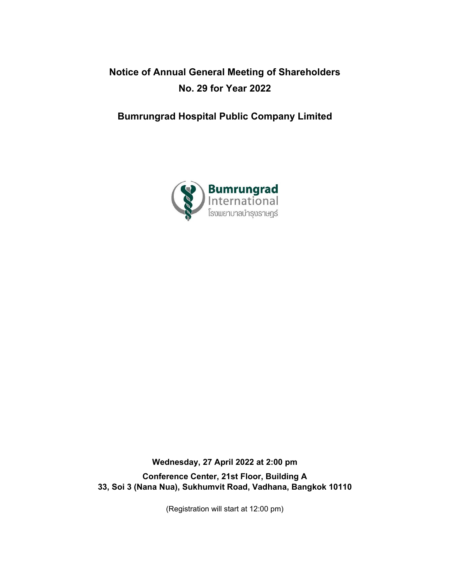# **Notice of Annual General Meeting of Shareholders No. 29 for Year 2022**

# **Bumrungrad Hospital Public Company Limited**



**Wednesday, 27 April 2022 at 2:00 pm Conference Center, 21st Floor, Building A 33, Soi 3 (Nana Nua), Sukhumvit Road, Vadhana, Bangkok 10110**

(Registration will start at 12:00 pm)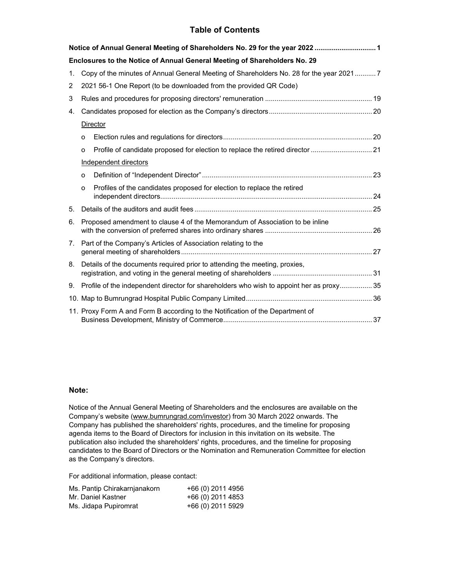# **Table of Contents**

|                                  |                                                                                         | Notice of Annual General Meeting of Shareholders No. 29 for the year 2022  1                |  |  |
|----------------------------------|-----------------------------------------------------------------------------------------|---------------------------------------------------------------------------------------------|--|--|
|                                  |                                                                                         | Enclosures to the Notice of Annual General Meeting of Shareholders No. 29                   |  |  |
| 1.                               | Copy of the minutes of Annual General Meeting of Shareholders No. 28 for the year 20217 |                                                                                             |  |  |
| 2                                |                                                                                         | 2021 56-1 One Report (to be downloaded from the provided QR Code)                           |  |  |
| 3                                |                                                                                         |                                                                                             |  |  |
| 4.                               |                                                                                         |                                                                                             |  |  |
|                                  |                                                                                         | Director                                                                                    |  |  |
|                                  | O                                                                                       |                                                                                             |  |  |
|                                  | $\circ$                                                                                 | Profile of candidate proposed for election to replace the retired director  21              |  |  |
|                                  |                                                                                         | Independent directors                                                                       |  |  |
|                                  | O                                                                                       |                                                                                             |  |  |
|                                  | $\Omega$                                                                                | Profiles of the candidates proposed for election to replace the retired                     |  |  |
| 5.                               |                                                                                         |                                                                                             |  |  |
| 6.                               | Proposed amendment to clause 4 of the Memorandum of Association to be inline            |                                                                                             |  |  |
| $7_{\scriptscriptstyle{\ddots}}$ | Part of the Company's Articles of Association relating to the                           |                                                                                             |  |  |
| 8.                               | Details of the documents required prior to attending the meeting, proxies,              |                                                                                             |  |  |
|                                  |                                                                                         | 9. Profile of the independent director for shareholders who wish to appoint her as proxy 35 |  |  |
|                                  |                                                                                         |                                                                                             |  |  |
|                                  | 11. Proxy Form A and Form B according to the Notification of the Department of          |                                                                                             |  |  |

# **Note:**

Notice of the Annual General Meeting of Shareholders and the enclosures are available on the Company's website (www.bumrungrad.com/investor) from 30 March 2022 onwards. The Company has published the shareholders' rights, procedures, and the timeline for proposing agenda items to the Board of Directors for inclusion in this invitation on its website. The publication also included the shareholders' rights, procedures, and the timeline for proposing candidates to the Board of Directors or the Nomination and Remuneration Committee for election as the Company's directors*.*

For additional information, please contact:

| Ms. Pantip Chirakarnjanakorn | +66 (0) 2011 4956 |
|------------------------------|-------------------|
| Mr. Daniel Kastner           | +66 (0) 2011 4853 |
| Ms. Jidapa Pupiromrat        | +66 (0) 2011 5929 |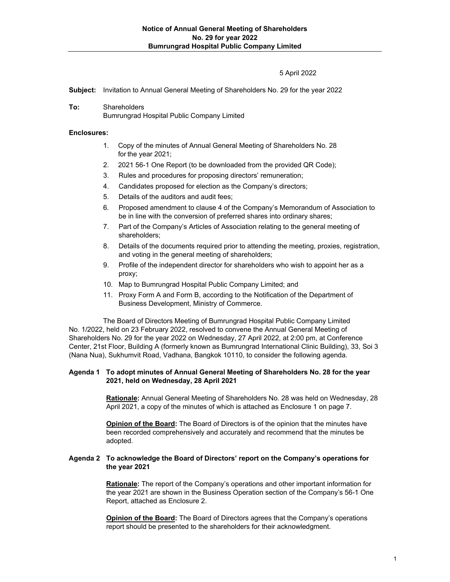## 5 April 2022

**Subject:** Invitation to Annual General Meeting of Shareholders No. 29 for the year 2022

**To:** Shareholders Bumrungrad Hospital Public Company Limited

### **Enclosures:**

- 1. Copy of the minutes of Annual General Meeting of Shareholders No. 28 for the year 2021;
- 2. 2021 56-1 One Report (to be downloaded from the provided QR Code);
- 3. Rules and procedures for proposing directors' remuneration;
- 4. Candidates proposed for election as the Company's directors;
- 5. Details of the auditors and audit fees;
- 6. Proposed amendment to clause 4 of the Company's Memorandum of Association to be in line with the conversion of preferred shares into ordinary shares;
- 7. Part of the Company's Articles of Association relating to the general meeting of shareholders;
- 8. Details of the documents required prior to attending the meeting, proxies, registration, and voting in the general meeting of shareholders;
- 9. Profile of the independent director for shareholders who wish to appoint her as a proxy;
- 10. Map to Bumrungrad Hospital Public Company Limited; and
- 11. Proxy Form A and Form B, according to the Notification of the Department of Business Development, Ministry of Commerce.

The Board of Directors Meeting of Bumrungrad Hospital Public Company Limited No. 1/2022, held on 23 February 2022, resolved to convene the Annual General Meeting of Shareholders No. 29 for the year 2022 on Wednesday, 27 April 2022, at 2:00 pm, at Conference Center, 21st Floor, Building A (formerly known as Bumrungrad International Clinic Building), 33, Soi 3 (Nana Nua), Sukhumvit Road, Vadhana, Bangkok 10110, to consider the following agenda.

#### **Agenda 1 To adopt minutes of Annual General Meeting of Shareholders No. 28 for the year 2021, held on Wednesday, 28 April 2021**

**Rationale:** Annual General Meeting of Shareholders No. 28 was held on Wednesday, 28 April 2021, a copy of the minutes of which is attached as Enclosure 1 on page 7.

**Opinion of the Board:** The Board of Directors is of the opinion that the minutes have been recorded comprehensively and accurately and recommend that the minutes be adopted.

### **Agenda 2 To acknowledge the Board of Directors' report on the Company's operations for the year 2021**

**Rationale:** The report of the Company's operations and other important information for the year 2021 are shown in the Business Operation section of the Company's 56-1 One Report, attached as Enclosure 2.

**Opinion of the Board:** The Board of Directors agrees that the Company's operations report should be presented to the shareholders for their acknowledgment.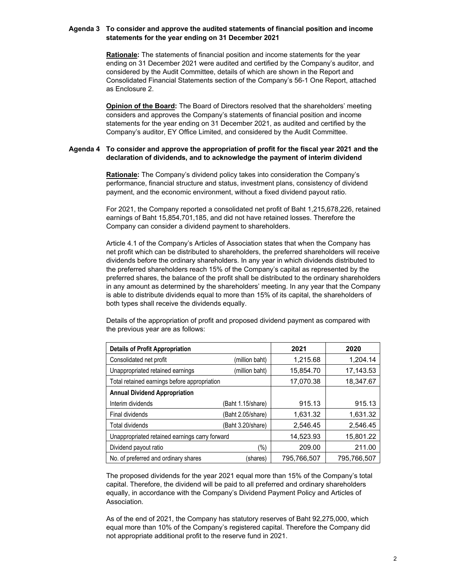## **Agenda 3 To consider and approve the audited statements of financial position and income statements for the year ending on 31 December 2021**

**Rationale:** The statements of financial position and income statements for the year ending on 31 December 2021 were audited and certified by the Company's auditor, and considered by the Audit Committee, details of which are shown in the Report and Consolidated Financial Statements section of the Company's 56-1 One Report, attached as Enclosure 2.

**Opinion of the Board:** The Board of Directors resolved that the shareholders' meeting considers and approves the Company's statements of financial position and income statements for the year ending on 31 December 2021, as audited and certified by the Company's auditor, EY Office Limited, and considered by the Audit Committee.

#### **Agenda 4 To consider and approve the appropriation of profit for the fiscal year 2021 and the declaration of dividends, and to acknowledge the payment of interim dividend**

**Rationale:** The Company's dividend policy takes into consideration the Company's performance, financial structure and status, investment plans, consistency of dividend payment, and the economic environment, without a fixed dividend payout ratio.

For 2021, the Company reported a consolidated net profit of Baht 1,215,678,226, retained earnings of Baht 15,854,701,185, and did not have retained losses. Therefore the Company can consider a dividend payment to shareholders.

Article 4.1 of the Company's Articles of Association states that when the Company has net profit which can be distributed to shareholders, the preferred shareholders will receive dividends before the ordinary shareholders. In any year in which dividends distributed to the preferred shareholders reach 15% of the Company's capital as represented by the preferred shares, the balance of the profit shall be distributed to the ordinary shareholders in any amount as determined by the shareholders' meeting. In any year that the Company is able to distribute dividends equal to more than 15% of its capital, the shareholders of both types shall receive the dividends equally.

Details of the appropriation of profit and proposed dividend payment as compared with the previous year are as follows:

| <b>Details of Profit Appropriation</b>         |                   | 2021        | 2020        |
|------------------------------------------------|-------------------|-------------|-------------|
| Consolidated net profit                        | (million baht)    | 1,215.68    | 1,204.14    |
| Unappropriated retained earnings               | (million baht)    | 15,854.70   | 17,143.53   |
| Total retained earnings before appropriation   | 17.070.38         | 18,347.67   |             |
| <b>Annual Dividend Appropriation</b>           |                   |             |             |
| Interim dividends                              | (Baht 1.15/share) | 915.13      | 915.13      |
| Final dividends                                | (Baht 2.05/share) | 1,631.32    | 1,631.32    |
| Total dividends                                | (Baht 3.20/share) | 2,546.45    | 2,546.45    |
| Unappropriated retained earnings carry forward | 14.523.93         | 15,801.22   |             |
| Dividend payout ratio                          | (%)               | 209.00      | 211.00      |
| No. of preferred and ordinary shares           | (shares)          | 795.766.507 | 795.766.507 |

The proposed dividends for the year 2021 equal more than 15% of the Company's total capital. Therefore, the dividend will be paid to all preferred and ordinary shareholders equally, in accordance with the Company's Dividend Payment Policy and Articles of Association.

As of the end of 2021, the Company has statutory reserves of Baht 92,275,000, which equal more than 10% of the Company's registered capital. Therefore the Company did not appropriate additional profit to the reserve fund in 2021.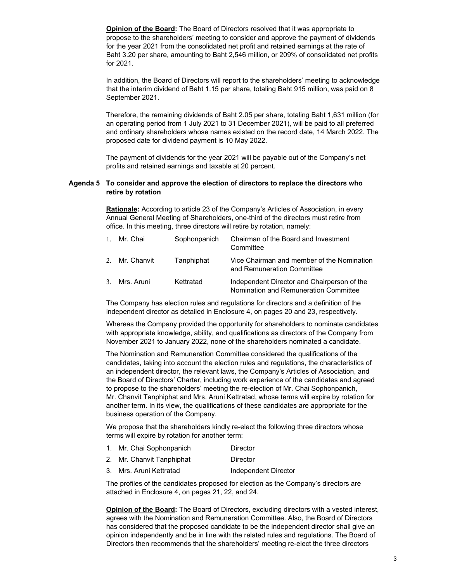**Opinion of the Board:** The Board of Directors resolved that it was appropriate to propose to the shareholders' meeting to consider and approve the payment of dividends for the year 2021 from the consolidated net profit and retained earnings at the rate of Baht 3.20 per share, amounting to Baht 2,546 million, or 209% of consolidated net profits for 2021.

In addition, the Board of Directors will report to the shareholders' meeting to acknowledge that the interim dividend of Baht 1.15 per share, totaling Baht 915 million, was paid on 8 September 2021.

Therefore, the remaining dividends of Baht 2.05 per share, totaling Baht 1,631 million (for an operating period from 1 July 2021 to 31 December 2021), will be paid to all preferred and ordinary shareholders whose names existed on the record date, 14 March 2022. The proposed date for dividend payment is 10 May 2022.

The payment of dividends for the year 2021 will be payable out of the Company's net profits and retained earnings and taxable at 20 percent.

#### **Agenda 5 To consider and approve the election of directors to replace the directors who retire by rotation**

**Rationale:** According to article 23 of the Company's Articles of Association, in every Annual General Meeting of Shareholders, one-third of the directors must retire from office. In this meeting, three directors will retire by rotation, namely:

| 1. Mr. Chai    | Sophonpanich | Chairman of the Board and Investment<br>Committee                                    |
|----------------|--------------|--------------------------------------------------------------------------------------|
| 2. Mr. Chanvit | Tanphiphat   | Vice Chairman and member of the Nomination<br>and Remuneration Committee             |
| 3. Mrs. Aruni  | Kettratad    | Independent Director and Chairperson of the<br>Nomination and Remuneration Committee |

The Company has election rules and regulations for directors and a definition of the independent director as detailed in Enclosure 4, on pages 20 and 23, respectively.

Whereas the Company provided the opportunity for shareholders to nominate candidates with appropriate knowledge, ability, and qualifications as directors of the Company from November 2021 to January 2022, none of the shareholders nominated a candidate.

The Nomination and Remuneration Committee considered the qualifications of the candidates, taking into account the election rules and regulations, the characteristics of an independent director, the relevant laws, the Company's Articles of Association, and the Board of Directors' Charter, including work experience of the candidates and agreed to propose to the shareholders' meeting the re-election of Mr. Chai Sophonpanich, Mr. Chanvit Tanphiphat and Mrs. Aruni Kettratad, whose terms will expire by rotation for another term. In its view, the qualifications of these candidates are appropriate for the business operation of the Company.

We propose that the shareholders kindly re-elect the following three directors whose terms will expire by rotation for another term:

- 1. Mr. Chai Sophonpanich Director
- 2. Mr. Chanvit Tanphiphat Director
- 3. Mrs. Aruni Kettratad Independent Director

The profiles of the candidates proposed for election as the Company's directors are attached in Enclosure 4, on pages 21, 22, and 24.

**Opinion of the Board:** The Board of Directors, excluding directors with a vested interest, agrees with the Nomination and Remuneration Committee. Also, the Board of Directors has considered that the proposed candidate to be the independent director shall give an opinion independently and be in line with the related rules and regulations. The Board of Directors then recommends that the shareholders' meeting re-elect the three directors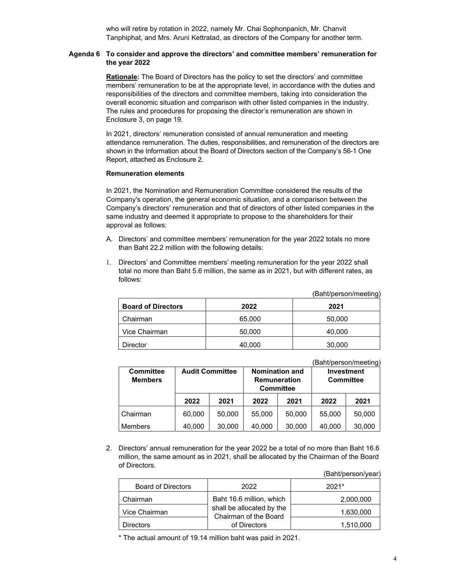who will retire by rotation in 2022, namely Mr. Chai Sophonpanich, Mr. Chanvit Tanphiphat, and Mrs. Aruni Kettratad, as directors of the Company for another term.

#### **Agenda 6 To consider and approve the directors' and committee members' remuneration for the year 2022**

**Rationale:** The Board of Directors has the policy to set the directors' and committee members' remuneration to be at the appropriate level, in accordance with the duties and responsibilities of the directors and committee members, taking into consideration the overall economic situation and comparison with other listed companies in the industry. The rules and procedures for proposing the director's remuneration are shown in Enclosure 3, on page 19.

In 2021, directors' remuneration consisted of annual remuneration and meeting attendance remuneration. The duties, responsibilities, and remuneration of the directors are shown in the Information about the Board of Directors section of the Company's 56-1 One Report, attached as Enclosure 2.

#### **Remuneration elements**

In 2021, the Nomination and Remuneration Committee considered the results of the Company's operation, the general economic situation, and a comparison between the Company's directors' remuneration and that of directors of other listed companies in the same industry and deemed it appropriate to propose to the shareholders for their approval as follows:

- A. Directors' and committee members' remuneration for the year 2022 totals no more than Baht 22.2 million with the following details:
- Directors' and Committee members' meeting remuneration for the year 2022 shall total no more than Baht 5.6 million, the same as in 2021, but with different rates, as follows:

(Baht/person/meeting)

| <b>Board of Directors</b> | 2022   | 2021   |
|---------------------------|--------|--------|
| Chairman                  | 65,000 | 50,000 |
| Vice Chairman             | 50,000 | 40,000 |
| Director                  | 40,000 | 30,000 |

(Baht/person/meeting)

| <b>Committee</b><br><b>Members</b> | <b>Audit Committee</b> |        | <b>Nomination and</b><br><b>Remuneration</b><br><b>Committee</b> |        | <b>Investment</b> | <b>Committee</b> |
|------------------------------------|------------------------|--------|------------------------------------------------------------------|--------|-------------------|------------------|
|                                    | 2022                   | 2021   | 2022                                                             | 2021   | 2022              | 2021             |
| Chairman                           | 60,000                 | 50,000 | 55,000                                                           | 50,000 | 55,000            | 50,000           |
| Members                            | 40,000                 | 30,000 | 40,000                                                           | 30,000 | 40,000            | 30,000           |

2. Directors' annual remuneration for the year 2022 be a total of no more than Baht 16.6 million, the same amount as in 2021, shall be allocated by the Chairman of the Board of Directors.

(Baht/person/year)

| <b>Board of Directors</b> | 2022                                               | $2021*$   |
|---------------------------|----------------------------------------------------|-----------|
| Chairman                  | Baht 16.6 million, which                           | 2,000,000 |
| Vice Chairman             | shall be allocated by the<br>Chairman of the Board | 1,630,000 |
| <b>Directors</b>          | of Directors                                       | 1,510,000 |

\* The actual amount of 19.14 million baht was paid in 2021.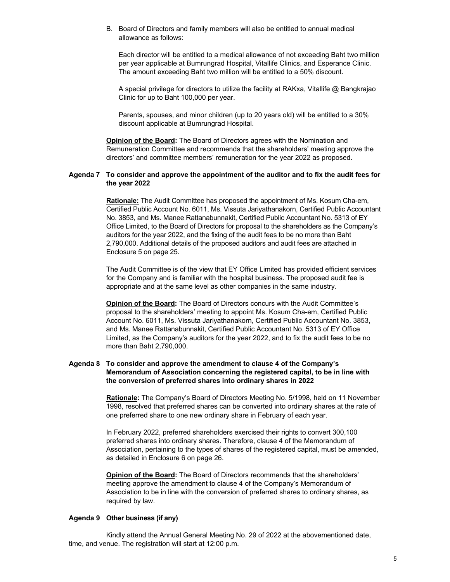B. Board of Directors and family members will also be entitled to annual medical allowance as follows:

Each director will be entitled to a medical allowance of not exceeding Baht two million per year applicable at Bumrungrad Hospital, Vitallife Clinics, and Esperance Clinic. The amount exceeding Baht two million will be entitled to a 50% discount.

A special privilege for directors to utilize the facility at RAKxa, Vitallife @ Bangkrajao Clinic for up to Baht 100,000 per year.

Parents, spouses, and minor children (up to 20 years old) will be entitled to a 30% discount applicable at Bumrungrad Hospital.

**Opinion of the Board:** The Board of Directors agrees with the Nomination and Remuneration Committee and recommends that the shareholders' meeting approve the directors' and committee members' remuneration for the year 2022 as proposed.

#### **Agenda 7 To consider and approve the appointment of the auditor and to fix the audit fees for the year 2022**

**Rationale:** The Audit Committee has proposed the appointment of Ms. Kosum Cha-em, Certified Public Account No. 6011, Ms. Vissuta Jariyathanakorn, Certified Public Accountant No. 3853, and Ms. Manee Rattanabunnakit, Certified Public Accountant No. 5313 of EY Office Limited, to the Board of Directors for proposal to the shareholders as the Company's auditors for the year 2022, and the fixing of the audit fees to be no more than Baht 2,790,000. Additional details of the proposed auditors and audit fees are attached in Enclosure 5 on page 25.

The Audit Committee is of the view that EY Office Limited has provided efficient services for the Company and is familiar with the hospital business. The proposed audit fee is appropriate and at the same level as other companies in the same industry.

**Opinion of the Board:** The Board of Directors concurs with the Audit Committee's proposal to the shareholders' meeting to appoint Ms. Kosum Cha-em, Certified Public Account No. 6011, Ms. Vissuta Jariyathanakorn, Certified Public Accountant No. 3853, and Ms. Manee Rattanabunnakit, Certified Public Accountant No. 5313 of EY Office Limited, as the Company's auditors for the year 2022, and to fix the audit fees to be no more than Baht 2,790,000.

### **Agenda 8 To consider and approve the amendment to clause 4 of the Company's Memorandum of Association concerning the registered capital, to be in line with the conversion of preferred shares into ordinary shares in 2022**

**Rationale:** The Company's Board of Directors Meeting No. 5/1998, held on 11 November 1998, resolved that preferred shares can be converted into ordinary shares at the rate of one preferred share to one new ordinary share in February of each year.

In February 2022, preferred shareholders exercised their rights to convert 300,100 preferred shares into ordinary shares. Therefore, clause 4 of the Memorandum of Association, pertaining to the types of shares of the registered capital, must be amended, as detailed in Enclosure 6 on page 26.

**Opinion of the Board:** The Board of Directors recommends that the shareholders' meeting approve the amendment to clause 4 of the Company's Memorandum of Association to be in line with the conversion of preferred shares to ordinary shares, as required by law.

#### **Agenda 9 Other business (if any)**

 Kindly attend the Annual General Meeting No. 29 of 2022 at the abovementioned date, time, and venue. The registration will start at 12:00 p.m.